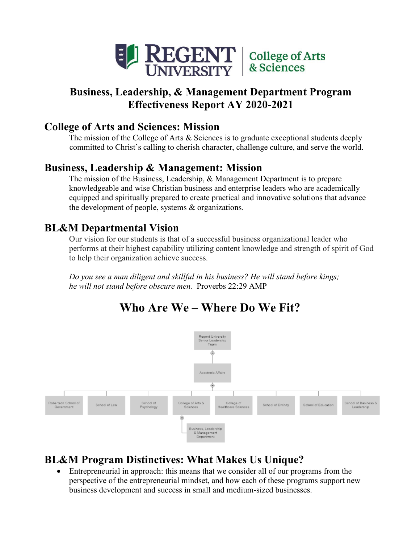

## **Business, Leadership, & Management Department Program Effectiveness Report AY 2020-2021**

## **College of Arts and Sciences: Mission**

 The mission of the College of Arts & Sciences is to graduate exceptional students deeply committed to Christ's calling to cherish character, challenge culture, and serve the world.

## **Business, Leadership & Management: Mission**

 knowledgeable and wise Christian business and enterprise leaders who are academically the development of people, systems & organizations. The mission of the Business, Leadership, & Management Department is to prepare equipped and spiritually prepared to create practical and innovative solutions that advance

## **BL&M Departmental Vision**

Our vision for our students is that of a successful business organizational leader who performs at their highest capability utilizing content knowledge and strength of spirit of God to help their organization achieve success.

 *he will not stand before obscure men.* Proverbs 22:29 AMP *Do you see a man diligent and skillful in his business? He will stand before kings;* 



# **Who Are We – Where Do We Fit?**

## **BL&M Program Distinctives: What Makes Us Unique?**

• Entrepreneurial in approach: this means that we consider all of our programs from the perspective of the entrepreneurial mindset, and how each of these programs support new business development and success in small and medium-sized businesses.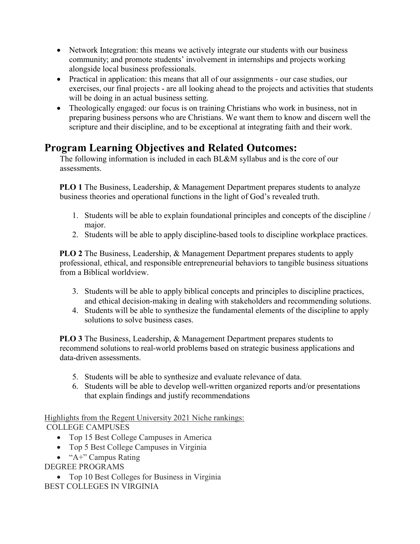- • Network Integration: this means we actively integrate our students with our business alongside local business professionals. community; and promote students' involvement in internships and projects working
- • Practical in application: this means that all of our assignments our case studies, our exercises, our final projects - are all looking ahead to the projects and activities that students will be doing in an actual business setting.
- scripture and their discipline, and to be exceptional at integrating faith and their work. • Theologically engaged: our focus is on training Christians who work in business, not in preparing business persons who are Christians. We want them to know and discern well the

## **Program Learning Objectives and Related Outcomes:**

 The following information is included in each BL&M syllabus and is the core of our assessments.

 **PLO 1** The Business, Leadership, & Management Department prepares students to analyze business theories and operational functions in the light of God's revealed truth.

- 1. Students will be able to explain foundational principles and concepts of the discipline / major.
- 2. Students will be able to apply discipline-based tools to discipline workplace practices.

 **PLO 2** The Business, Leadership, & Management Department prepares students to apply professional, ethical, and responsible entrepreneurial behaviors to tangible business situations from a Biblical worldview.

- 3. Students will be able to apply biblical concepts and principles to discipline practices, and ethical decision-making in dealing with stakeholders and recommending solutions.
- 4. Students will be able to synthesize the fundamental elements of the discipline to apply solutions to solve business cases.

 **PLO 3** The Business, Leadership, & Management Department prepares students to recommend solutions to real-world problems based on strategic business applications and data-driven assessments.

- 5. Students will be able to synthesize and evaluate relevance of data.
- 6. Students will be able to develop well-written organized reports and/or presentations that explain findings and justify recommendations

 COLLEGE CAMPUSES Highlights from the Regent University 2021 Niche rankings:

- Top 15 Best College Campuses in America
- Top 5 Best College Campuses in Virginia
- "A+" Campus Rating

DEGREE PROGRAMS

 • Top 10 Best Colleges for Business in Virginia BEST COLLEGES IN VIRGINIA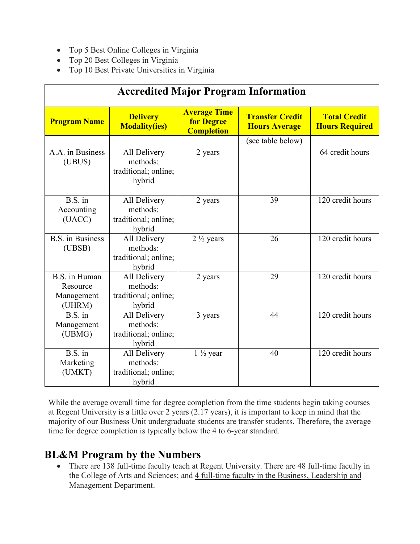- Top 5 Best Online Colleges in Virginia
- Top 20 Best Colleges in Virginia
- Top 10 Best Private Universities in Virginia

|                                                   |                                                            |                                                               | <b>Accredited Major Program Information</b>    |                                              |
|---------------------------------------------------|------------------------------------------------------------|---------------------------------------------------------------|------------------------------------------------|----------------------------------------------|
| <b>Program Name</b>                               | <b>Delivery</b><br><b>Modality(ies)</b>                    | <b>Average Time</b><br><b>for Degree</b><br><b>Completion</b> | <b>Transfer Credit</b><br><b>Hours Average</b> | <b>Total Credit</b><br><b>Hours Required</b> |
|                                                   |                                                            |                                                               | (see table below)                              |                                              |
| A.A. in Business<br>(UBUS)                        | All Delivery<br>methods:<br>traditional; online;<br>hybrid | 2 years                                                       |                                                | 64 credit hours                              |
|                                                   |                                                            |                                                               |                                                |                                              |
| $B.S.$ in<br>Accounting<br>(UACC)                 | All Delivery<br>methods:<br>traditional; online;<br>hybrid | 2 years                                                       | 39                                             | 120 credit hours                             |
| <b>B.S.</b> in Business<br>(UBSB)                 | All Delivery<br>methods:<br>traditional; online;<br>hybrid | $2\frac{1}{2}$ years                                          | 26                                             | 120 credit hours                             |
| B.S. in Human<br>Resource<br>Management<br>(UHRM) | All Delivery<br>methods:<br>traditional; online;<br>hybrid | 2 years                                                       | 29                                             | 120 credit hours                             |
| $B.S.$ in<br>Management<br>(UBMG)                 | All Delivery<br>methods:<br>traditional; online;<br>hybrid | 3 years                                                       | 44                                             | 120 credit hours                             |
| $B.S.$ in<br>Marketing<br>(UMKT)                  | All Delivery<br>methods:<br>traditional; online;<br>hybrid | $1\frac{1}{2}$ year                                           | 40                                             | 120 credit hours                             |

 at Regent University is a little over 2 years (2.17 years), it is important to keep in mind that the majority of our Business Unit undergraduate students are transfer students. Therefore, the average time for degree completion is typically below the 4 to 6-year standard. While the average overall time for degree completion from the time students begin taking courses

## **BL&M Program by the Numbers**

 • There are 138 full-time faculty teach at Regent University. There are 48 full-time faculty in the College of Arts and Sciences; and 4 full-time faculty in the Business, Leadership and Management Department.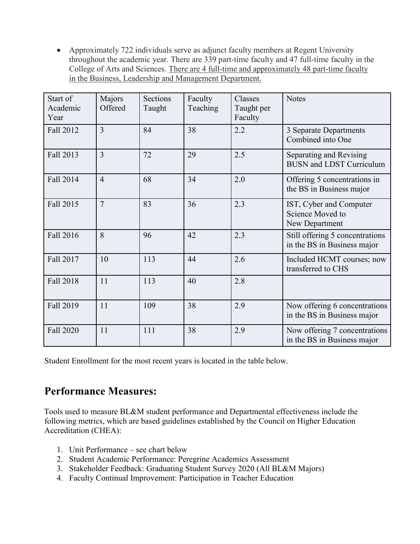• Approximately 722 individuals serve as adjunct faculty members at Regent University throughout the academic year. There are 339 part-time faculty and 47 full-time faculty in the College of Arts and Sciences. There are 4 full-time and approximately 48 part-time faculty in the Business, Leadership and Management Department.

| Start of<br>Academic<br>Year | Majors<br>Offered | Sections<br>Taught | Faculty<br>Teaching | Classes<br>Taught per<br>Faculty | <b>Notes</b>                                                   |
|------------------------------|-------------------|--------------------|---------------------|----------------------------------|----------------------------------------------------------------|
| Fall 2012                    | $\overline{3}$    | 84                 | 38                  | 2.2                              | 3 Separate Departments<br>Combined into One                    |
| Fall 2013                    | $\overline{3}$    | 72                 | 29                  | 2.5                              | Separating and Revising<br><b>BUSN</b> and LDST Curriculum     |
| Fall 2014                    | $\overline{4}$    | 68                 | 34                  | 2.0                              | Offering 5 concentrations in<br>the BS in Business major       |
| Fall 2015                    | $\overline{7}$    | 83                 | 36                  | 2.3                              | IST, Cyber and Computer<br>Science Moved to<br>New Department  |
| Fall 2016                    | 8                 | 96                 | 42                  | 2.3                              | Still offering 5 concentrations<br>in the BS in Business major |
| Fall 2017                    | 10                | 113                | 44                  | 2.6                              | Included HCMT courses; now<br>transferred to CHS               |
| <b>Fall 2018</b>             | 11                | 113                | 40                  | 2.8                              |                                                                |
| Fall 2019                    | 11                | 109                | 38                  | 2.9                              | Now offering 6 concentrations<br>in the BS in Business major   |
| Fall 2020                    | 11                | 111                | 38                  | 2.9                              | Now offering 7 concentrations<br>in the BS in Business major   |

Student Enrollment for the most recent years is located in the table below.

## **Performance Measures:**

 Tools used to measure BL&M student performance and Departmental effectiveness include the following metrics, which are based guidelines established by the Council on Higher Education Accreditation (CHEA):

- 1. Unit Performance see chart below
- 2. Student Academic Performance: Peregrine Academics Assessment
- 3. Stakeholder Feedback: Graduating Student Survey 2020 (All BL&M Majors)
- 4. Faculty Continual Improvement: Participation in Teacher Education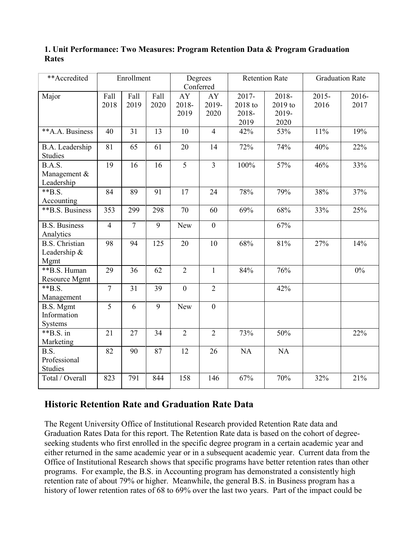| 1. Unit Performance: Two Measures: Program Retention Data & Program Graduation |  |  |  |
|--------------------------------------------------------------------------------|--|--|--|
| <b>Rates</b>                                                                   |  |  |  |

| **Accredited                                  |                 | Enrollment   |              |                     | Degrees<br>Conferred |                                      | <b>Retention Rate</b>             |                  | <b>Graduation Rate</b> |
|-----------------------------------------------|-----------------|--------------|--------------|---------------------|----------------------|--------------------------------------|-----------------------------------|------------------|------------------------|
| Major                                         | Fall<br>2018    | Fall<br>2019 | Fall<br>2020 | AY<br>2018-<br>2019 | AY<br>2019-<br>2020  | $2017 -$<br>2018 to<br>2018-<br>2019 | 2018-<br>2019 to<br>2019-<br>2020 | $2015 -$<br>2016 | 2016-<br>2017          |
| **A.A. Business                               | 40              | 31           | 13           | 10                  | $\overline{4}$       | 42%                                  | 53%                               | 11%              | 19%                    |
| <b>B.A.</b> Leadership<br><b>Studies</b>      | 81              | 65           | 61           | 20                  | 14                   | 72%                                  | 74%                               | 40%              | 22%                    |
| B.A.S.<br>Management &<br>Leadership          | $\overline{19}$ | 16           | 16           | $\overline{5}$      | $\overline{3}$       | 100%                                 | 57%                               | 46%              | 33%                    |
| $*$ $B.S.$<br>Accounting                      | 84              | 89           | 91           | 17                  | 24                   | 78%                                  | 79%                               | 38%              | 37%                    |
| **B.S. Business                               | 353             | 299          | 298          | 70                  | 60                   | 69%                                  | 68%                               | 33%              | 25%                    |
| <b>B.S. Business</b><br>Analytics             | $\overline{4}$  | $\tau$       | 9            | New                 | $\boldsymbol{0}$     |                                      | 67%                               |                  |                        |
| <b>B.S. Christian</b><br>Leadership &<br>Mgmt | 98              | 94           | 125          | 20                  | 10                   | 68%                                  | 81%                               | 27%              | 14%                    |
| **B.S. Human<br>Resource Mgmt                 | 29              | 36           | 62           | $\overline{2}$      | $\mathbf{1}$         | 84%                                  | 76%                               |                  | $0\%$                  |
| $*$ $B.S.$<br>Management                      | $\overline{7}$  | 31           | 39           | $\mathbf{0}$        | $\overline{2}$       |                                      | 42%                               |                  |                        |
| <b>B.S.</b> Mgmt<br>Information<br>Systems    | 5               | 6            | 9            | New                 | $\boldsymbol{0}$     |                                      |                                   |                  |                        |
| $*$ $B.S.$ in<br>Marketing                    | 21              | 27           | 34           | $\overline{2}$      | $\overline{2}$       | 73%                                  | 50%                               |                  | 22%                    |
| B.S.<br>Professional<br><b>Studies</b>        | 82              | 90           | 87           | 12                  | 26                   | <b>NA</b>                            | <b>NA</b>                         |                  |                        |
| Total / Overall                               | 823             | 791          | 844          | 158                 | 146                  | 67%                                  | 70%                               | 32%              | 21%                    |

### **Historic Retention Rate and Graduation Rate Data**

 either returned in the same academic year or in a subsequent academic year. Current data from the Office of Institutional Research shows that specific programs have better retention rates than other programs. For example, the B.S. in Accounting program has demonstrated a consistently high retention rate of about 79% or higher. Meanwhile, the general B.S. in Business program has a history of lower retention rates of 68 to 69% over the last two years. Part of the impact could be The Regent University Office of Institutional Research provided Retention Rate data and Graduation Rates Data for this report. The Retention Rate data is based on the cohort of degreeseeking students who first enrolled in the specific degree program in a certain academic year and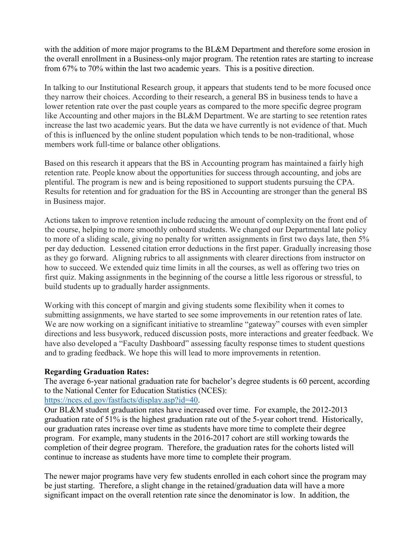from 67% to 70% within the last two academic years. This is a positive direction. with the addition of more major programs to the BL&M Department and therefore some erosion in the overall enrollment in a Business-only major program. The retention rates are starting to increase

 they narrow their choices. According to their research, a general BS in business tends to have a lower retention rate over the past couple years as compared to the more specific degree program like Accounting and other majors in the BL&M Department. We are starting to see retention rates increase the last two academic years. But the data we have currently is not evidence of that. Much members work full-time or balance other obligations. In talking to our Institutional Research group, it appears that students tend to be more focused once of this is influenced by the online student population which tends to be non-traditional, whose

 retention rate. People know about the opportunities for success through accounting, and jobs are Results for retention and for graduation for the BS in Accounting are stronger than the general BS Based on this research it appears that the BS in Accounting program has maintained a fairly high plentiful. The program is new and is being repositioned to support students pursuing the CPA. in Business major.

 Actions taken to improve retention include reducing the amount of complexity on the front end of the course, helping to more smoothly onboard students. We changed our Departmental late policy to more of a sliding scale, giving no penalty for written assignments in first two days late, then 5% first quiz. Making assignments in the beginning of the course a little less rigorous or stressful, to build students up to gradually harder assignments. per day deduction. Lessened citation error deductions in the first paper. Gradually increasing those as they go forward. Aligning rubrics to all assignments with clearer directions from instructor on how to succeed. We extended quiz time limits in all the courses, as well as offering two tries on

 directions and less busywork, reduced discussion posts, more interactions and greater feedback. We have also developed a "Faculty Dashboard" assessing faculty response times to student questions and to grading feedback. We hope this will lead to more improvements in retention. Working with this concept of margin and giving students some flexibility when it comes to submitting assignments, we have started to see some improvements in our retention rates of late. We are now working on a significant initiative to streamline "gateway" courses with even simpler

#### **Regarding Graduation Rates:**

The average 6-year national graduation rate for bachelor's degree students is 60 percent, according to the National Center for Education Statistics (NCES):

#### [https://nces.ed.gov/fastfacts/display.asp?id=40.](https://nces.ed.gov/fastfacts/display.asp?id=40)

 Our BL&M student graduation rates have increased over time. For example, the 2012-2013 graduation rate of 51% is the highest graduation rate out of the 5-year cohort trend. Historically, program. For example, many students in the 2016-2017 cohort are still working towards the completion of their degree program. Therefore, the graduation rates for the cohorts listed will continue to increase as students have more time to complete their program. our graduation rates increase over time as students have more time to complete their degree

 continue to increase as students have more time to complete their program. The newer major programs have very few students enrolled in each cohort since the program may be just starting. Therefore, a slight change in the retained/graduation data will have a more significant impact on the overall retention rate since the denominator is low. In addition, the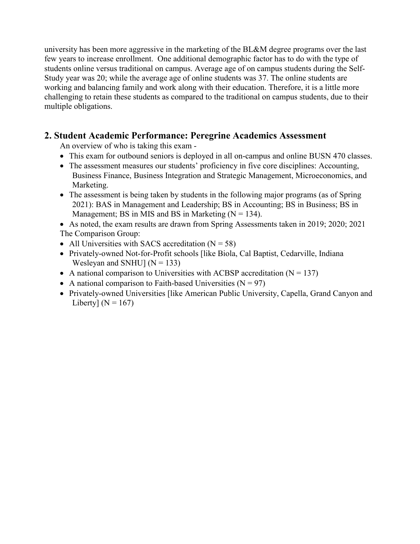university has been more aggressive in the marketing of the BL&M degree programs over the last few years to increase enrollment. One additional demographic factor has to do with the type of multiple obligations. students online versus traditional on campus. Average age of on campus students during the Self-Study year was 20; while the average age of online students was 37. The online students are working and balancing family and work along with their education. Therefore, it is a little more challenging to retain these students as compared to the traditional on campus students, due to their

### **2. Student Academic Performance: Peregrine Academics Assessment**

An overview of who is taking this exam -

- This exam for outbound seniors is deployed in all on-campus and online BUSN 470 classes.
- • The assessment measures our students' proficiency in five core disciplines: Accounting, Business Finance, Business Integration and Strategic Management, Microeconomics, and Marketing.
- Management; BS in MIS and BS in Marketing  $(N = 134)$ . • The assessment is being taken by students in the following major programs (as of Spring 2021): BAS in Management and Leadership; BS in Accounting; BS in Business; BS in
- • As noted, the exam results are drawn from Spring Assessments taken in 2019; 2020; 2021 The Comparison Group:
- All Universities with SACS accreditation  $(N = 58)$
- • Privately-owned Not-for-Profit schools [like Biola, Cal Baptist, Cedarville, Indiana Wesleyan and SNHU]  $(N = 133)$
- A national comparison to Universities with ACBSP accreditation  $(N = 137)$
- A national comparison to Faith-based Universities  $(N = 97)$
- Liberty]  $(N = 167)$ • Privately-owned Universities [like American Public University, Capella, Grand Canyon and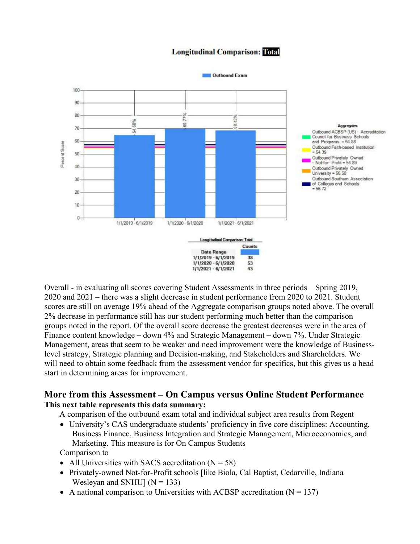

#### **Longitudinal Comparison: Total**

 Overall - in evaluating all scores covering Student Assessments in three periods – Spring 2019, scores are still on average 19% ahead of the Aggregate comparison groups noted above. The overall Finance content knowledge – down 4% and Strategic Management – down 7%. Under Strategic Management, areas that seem to be weaker and need improvement were the knowledge of Business- will need to obtain some feedback from the assessment vendor for specifics, but this gives us a head 2020 and 2021 – there was a slight decrease in student performance from 2020 to 2021. Student 2% decrease in performance still has our student performing much better than the comparison groups noted in the report. Of the overall score decrease the greatest decreases were in the area of level strategy, Strategic planning and Decision-making, and Stakeholders and Shareholders. We start in determining areas for improvement.

#### **More from this Assessment – On Campus versus Online Student Performance This next table represents this data summary:**

A comparison of the outbound exam total and individual subject area results from Regent

Marketing. This measure is for On Campus Students • University's CAS undergraduate students' proficiency in five core disciplines: Accounting, Business Finance, Business Integration and Strategic Management, Microeconomics, and

Comparison to

- All Universities with SACS accreditation  $(N = 58)$
- Wesleyan and SNHU]  $(N = 133)$ • Privately-owned Not-for-Profit schools [like Biola, Cal Baptist, Cedarville, Indiana
- A national comparison to Universities with ACBSP accreditation  $(N = 137)$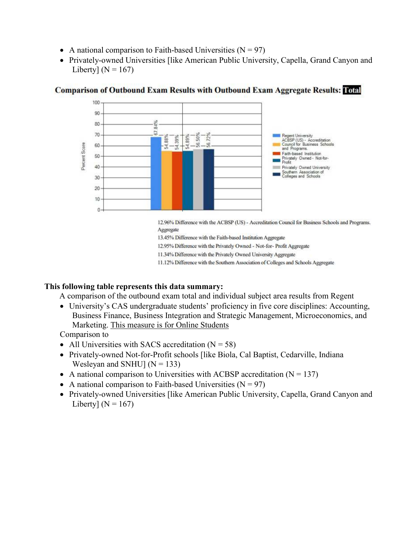- A national comparison to Faith-based Universities  $(N = 97)$
- Liberty]  $(N = 167)$ • Privately-owned Universities [like American Public University, Capella, Grand Canyon and



#### **Comparison of Outbound Exam Results with Outbound Exam Aggregate Results: Total**

12.96% Difference with the ACBSP (US) - Accreditation Council for Business Schools and Programs. Aggregate

13.45% Difference with the Faith-based Institution Aggregate

12.95% Difference with the Privately Owned - Not-for-Profit Aggregate

11.34% Difference with the Privately Owned University Aggregate

11.12% Difference with the Southern Association of Colleges and Schools Aggregate

#### **This following table represents this data summary:**

A comparison of the outbound exam total and individual subject area results from Regent

• University's CAS undergraduate students' proficiency in five core disciplines: Accounting, Business Finance, Business Integration and Strategic Management, Microeconomics, and Marketing. This measure is for Online Students

Comparison to

- All Universities with SACS accreditation  $(N = 58)$
- Wesleyan and SNHU]  $(N = 133)$ • Privately-owned Not-for-Profit schools [like Biola, Cal Baptist, Cedarville, Indiana
- A national comparison to Universities with ACBSP accreditation  $(N = 137)$
- A national comparison to Faith-based Universities  $(N = 97)$
- Liberty]  $(N = 167)$ • Privately-owned Universities [like American Public University, Capella, Grand Canyon and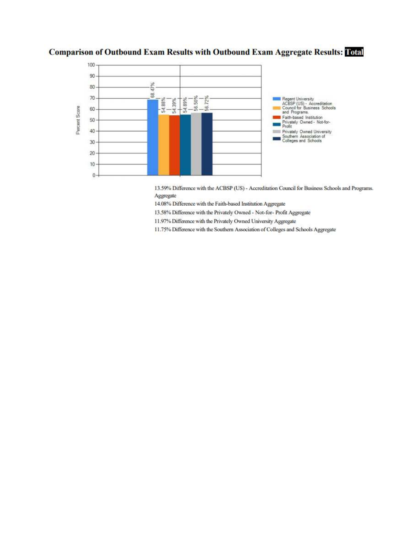### **Comparison of Outbound Exam Results with Outbound Exam Aggregate Results: Total**



13.59% Difference with the ACBSP (US) - Accreditation Council for Business Schools and Programs. Aggregate

14.08% Difference with the Faith-based Institution Aggregate

13.58% Difference with the Privately Owned - Not-for- Profit Aggregate

11.97% Difference with the Privately Owned University Aggregate

11.75% Difference with the Southern Association of Colleges and Schools Aggregate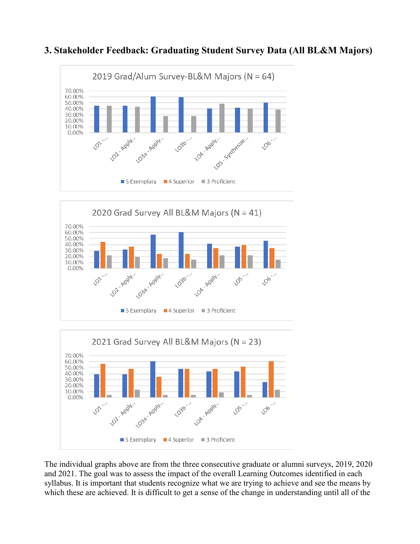

### **3. Stakeholder Feedback: Graduating Student Survey Data (All BL&M Majors)**





 The individual graphs above are from the three consecutive graduate or alumni surveys, 2019, 2020 and 2021. The goal was to assess the impact of the overall Learning Outcomes identified in each syllabus. It is important that students recognize what we are trying to achieve and see the means by which these are achieved. It is difficult to get a sense of the change in understanding until all of the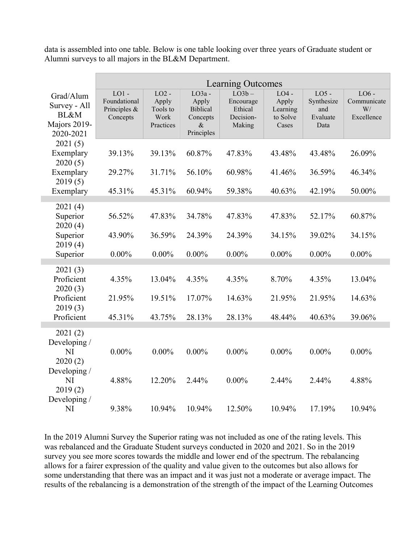data is assembled into one table. Below is one table looking over three years of Graduate student or Alumni surveys to all majors in the BL&M Department.

|                                                                           | <b>Learning Outcomes</b>                            |                                                   |                                                                        |                                                         |                                                   |                                                  |                                            |
|---------------------------------------------------------------------------|-----------------------------------------------------|---------------------------------------------------|------------------------------------------------------------------------|---------------------------------------------------------|---------------------------------------------------|--------------------------------------------------|--------------------------------------------|
| Grad/Alum<br>Survey - All<br><b>BL&amp;M</b><br>Majors 2019-<br>2020-2021 | $LO1$ -<br>Foundational<br>Principles &<br>Concepts | $LO2 -$<br>Apply<br>Tools to<br>Work<br>Practices | $LO3a -$<br>Apply<br><b>Biblical</b><br>Concepts<br>$\&$<br>Principles | $LO3b -$<br>Encourage<br>Ethical<br>Decision-<br>Making | $LO4 -$<br>Apply<br>Learning<br>to Solve<br>Cases | $LO5 -$<br>Synthesize<br>and<br>Evaluate<br>Data | $LO6 -$<br>Communicate<br>W/<br>Excellence |
| 2021(5)<br>Exemplary<br>2020(5)                                           | 39.13%                                              | 39.13%                                            | 60.87%                                                                 | 47.83%                                                  | 43.48%                                            | 43.48%                                           | 26.09%                                     |
| Exemplary<br>2019(5)                                                      | 29.27%                                              | 31.71%                                            | 56.10%                                                                 | 60.98%                                                  | 41.46%                                            | 36.59%                                           | 46.34%                                     |
| Exemplary                                                                 | 45.31%                                              | 45.31%                                            | 60.94%                                                                 | 59.38%                                                  | 40.63%                                            | 42.19%                                           | 50.00%                                     |
| 2021(4)<br>Superior<br>2020(4)                                            | 56.52%                                              | 47.83%                                            | 34.78%                                                                 | 47.83%                                                  | 47.83%                                            | 52.17%                                           | 60.87%                                     |
| Superior<br>2019(4)                                                       | 43.90%                                              | 36.59%                                            | 24.39%                                                                 | 24.39%                                                  | 34.15%                                            | 39.02%                                           | 34.15%                                     |
| Superior                                                                  | $0.00\%$                                            | $0.00\%$                                          | $0.00\%$                                                               | $0.00\%$                                                | $0.00\%$                                          | $0.00\%$                                         | $0.00\%$                                   |
| 2021(3)<br>Proficient<br>2020(3)                                          | 4.35%                                               | 13.04%                                            | 4.35%                                                                  | 4.35%                                                   | 8.70%                                             | 4.35%                                            | 13.04%                                     |
| Proficient<br>2019(3)                                                     | 21.95%                                              | 19.51%                                            | 17.07%                                                                 | 14.63%                                                  | 21.95%                                            | 21.95%                                           | 14.63%                                     |
| Proficient                                                                | 45.31%                                              | 43.75%                                            | 28.13%                                                                 | 28.13%                                                  | 48.44%                                            | 40.63%                                           | 39.06%                                     |
| 2021(2)<br>Developing /<br>NI<br>2020(2)                                  | $0.00\%$                                            | $0.00\%$                                          | $0.00\%$                                                               | $0.00\%$                                                | $0.00\%$                                          | $0.00\%$                                         | $0.00\%$                                   |
| Developing /<br>NI<br>2019(2)<br>Developing /                             | 4.88%                                               | 12.20%                                            | 2.44%                                                                  | $0.00\%$                                                | 2.44%                                             | 2.44%                                            | 4.88%                                      |
| NI                                                                        | 9.38%                                               | 10.94%                                            | 10.94%                                                                 | 12.50%                                                  | 10.94%                                            | 17.19%                                           | 10.94%                                     |

 In the 2019 Alumni Survey the Superior rating was not included as one of the rating levels. This was rebalanced and the Graduate Student surveys conducted in 2020 and 2021. So in the 2019 allows for a fairer expression of the quality and value given to the outcomes but also allows for some understanding that there was an impact and it was just not a moderate or average impact. The results of the rebalancing is a demonstration of the strength of the impact of the Learning Outcomes survey you see more scores towards the middle and lower end of the spectrum. The rebalancing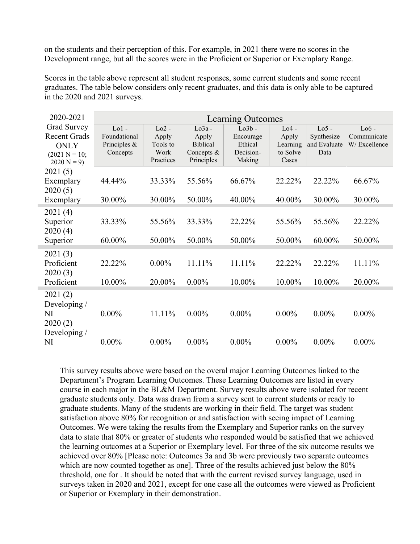Development range, but all the scores were in the Proficient or Superior or Exemplary Range. on the students and their perception of this. For example, in 2021 there were no scores in the

 graduates. The table below considers only recent graduates, and this data is only able to be captured Scores in the table above represent all student responses, some current students and some recent in the 2020 and 2021 surveys.

| 2020-2021                                                                            | Learning Outcomes                                     |                                                   |                                                                  |                                                         |                                                   |                                               |                                        |
|--------------------------------------------------------------------------------------|-------------------------------------------------------|---------------------------------------------------|------------------------------------------------------------------|---------------------------------------------------------|---------------------------------------------------|-----------------------------------------------|----------------------------------------|
| Grad Survey<br><b>Recent Grads</b><br><b>ONLY</b><br>$(2021 N = 10;$<br>$2020 N = 9$ | $Lo1 -$<br>Foundational<br>Principles $&$<br>Concepts | $Lo2 -$<br>Apply<br>Tools to<br>Work<br>Practices | $Lo3a -$<br>Apply<br><b>Biblical</b><br>Concepts &<br>Principles | $Lo3b -$<br>Encourage<br>Ethical<br>Decision-<br>Making | $Lo4 -$<br>Apply<br>Learning<br>to Solve<br>Cases | $Lo5 -$<br>Synthesize<br>and Evaluate<br>Data | $Lo6 -$<br>Communicate<br>W/Excellence |
| 2021(5)<br>Exemplary<br>2020(5)                                                      | 44.44%                                                | 33.33%                                            | 55.56%                                                           | 66.67%                                                  | 22.22%                                            | 22.22%                                        | 66.67%                                 |
| Exemplary                                                                            | 30.00%                                                | 30.00%                                            | 50.00%                                                           | 40.00%                                                  | 40.00%                                            | 30.00%                                        | 30.00%                                 |
| 2021(4)<br>Superior<br>2020(4)<br>Superior                                           | 33.33%<br>60.00%                                      | 55.56%<br>50.00%                                  | 33.33%<br>50.00%                                                 | 22.22%<br>50.00%                                        | 55.56%<br>50.00%                                  | 55.56%<br>60.00%                              | 22.22%<br>50.00%                       |
| 2021(3)<br>Proficient<br>2020(3)<br>Proficient                                       | 22.22%<br>10.00%                                      | $0.00\%$<br>20.00%                                | 11.11%<br>$0.00\%$                                               | 11.11%<br>10.00%                                        | 22.22%<br>10.00%                                  | 22.22%<br>10.00%                              | 11.11%<br>20.00%                       |
| 2021(2)<br>Developing /<br>NI<br>2020(2)<br>Developing /                             | $0.00\%$                                              | 11.11%                                            | $0.00\%$                                                         | $0.00\%$                                                | $0.00\%$                                          | $0.00\%$                                      | $0.00\%$                               |
| NI                                                                                   | $0.00\%$                                              | $0.00\%$                                          | $0.00\%$                                                         | $0.00\%$                                                | $0.00\%$                                          | $0.00\%$                                      | $0.00\%$                               |

m.

r

×

 This survey results above were based on the overal major Learning Outcomes linked to the Department's Program Learning Outcomes. These Learning Outcomes are listed in every course in each major in the BL&M Department. Survey results above were isolated for recent graduate students only. Data was drawn from a survey sent to current students or ready to graduate students. Many of the students are working in their field. The target was student Outcomes. We were taking the results from the Exemplary and Superior ranks on the survey data to state that 80% or greater of students who responded would be satisfied that we achieved the learning outcomes at a Superior or Exemplary level. For three of the six outcome results we achieved over 80% [Please note: Outcomes 3a and 3b were previously two separate outcomes threshold, one for . It should be noted that with the current revised survey language, used in or Superior or Exemplary in their demonstration. satisfaction above 80% for recognition or and satisfaction with seeing impact of Learning which are now counted together as one]. Three of the results achieved just below the 80% surveys taken in 2020 and 2021, except for one case all the outcomes were viewed as Proficient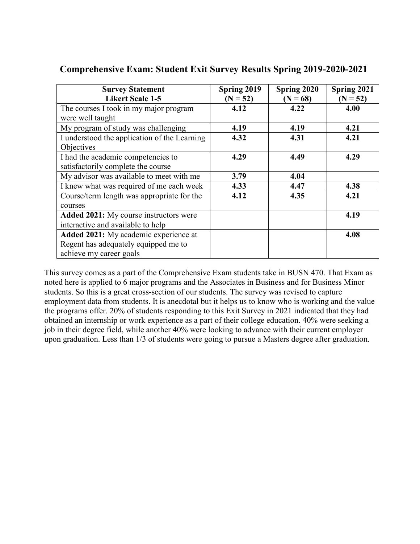| <b>Survey Statement</b><br><b>Likert Scale 1-5</b> | Spring 2019<br>$(N = 52)$ | Spring 2020<br>$(N = 68)$ | Spring 2021<br>$(N = 52)$ |
|----------------------------------------------------|---------------------------|---------------------------|---------------------------|
| The courses I took in my major program             | 4.12                      | 4.22                      | 4.00                      |
| were well taught                                   |                           |                           |                           |
| My program of study was challenging                | 4.19                      | 4.19                      | 4.21                      |
| I understood the application of the Learning       | 4.32                      | 4.31                      | 4.21                      |
| Objectives                                         |                           |                           |                           |
| I had the academic competencies to                 | 4.29                      | 4.49                      | 4.29                      |
| satisfactorily complete the course                 |                           |                           |                           |
| My advisor was available to meet with me           | 3.79                      | 4.04                      |                           |
| I knew what was required of me each week           | 4.33                      | 4.47                      | 4.38                      |
| Course/term length was appropriate for the         | 4.12                      | 4.35                      | 4.21                      |
| courses                                            |                           |                           |                           |
| Added 2021: My course instructors were             |                           |                           | 4.19                      |
| interactive and available to help                  |                           |                           |                           |
| Added 2021: My academic experience at              |                           |                           | 4.08                      |
| Regent has adequately equipped me to               |                           |                           |                           |
| achieve my career goals                            |                           |                           |                           |

## **Comprehensive Exam: Student Exit Survey Results Spring 2019-2020-2021**

 This survey comes as a part of the Comprehensive Exam students take in BUSN 470. That Exam as employment data from students. It is anecdotal but it helps us to know who is working and the value obtained an internship or work experience as a part of their college education. 40% were seeking a job in their degree field, while another 40% were looking to advance with their current employer upon graduation. Less than 1/3 of students were going to pursue a Masters degree after graduation. noted here is applied to 6 major programs and the Associates in Business and for Business Minor students. So this is a great cross-section of our students. The survey was revised to capture the programs offer. 20% of students responding to this Exit Survey in 2021 indicated that they had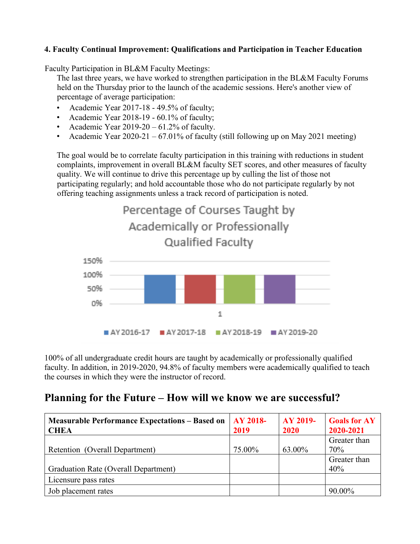#### **4. Faculty Continual Improvement: Qualifications and Participation in Teacher Education**

Faculty Participation in BL&M Faculty Meetings:

Faculty Participation in BL&M Faculty Meetings:<br>The last three years, we have worked to strengthen participation in the BL&M Faculty Forums held on the Thursday prior to the launch of the academic sessions. Here's another view of percentage of average participation:

- Academic Year 2017-18 49.5% of faculty;
- Academic Year 2018-19 60.1% of faculty;
- Academic Year  $2019-20-61.2%$  of faculty.
- Academic Year  $2020-21 67.01\%$  of faculty (still following up on May 2021 meeting)

 complaints, improvement in overall BL&M faculty SET scores, and other measures of faculty quality. We will continue to drive this percentage up by culling the list of those not participating regularly; and hold accountable those who do not participate regularly by not The goal would be to correlate faculty participation in this training with reductions in student offering teaching assignments unless a track record of participation is noted.



100% of all undergraduate credit hours are taught by academically or professionally qualified faculty. In addition, in 2019-2020, 94.8% of faculty members were academically qualified to teach the courses in which they were the instructor of record.

## **Planning for the Future – How will we know we are successful?**

| <b>Measurable Performance Expectations – Based on</b><br><b>CHEA</b> | $AY 2018-$<br>2019 | AY 2019-<br>2020 | <b>Goals for AY</b><br>2020-2021 |
|----------------------------------------------------------------------|--------------------|------------------|----------------------------------|
|                                                                      |                    |                  | Greater than                     |
| Retention (Overall Department)                                       | 75.00%             | 63.00%           | 70%                              |
|                                                                      |                    |                  | Greater than                     |
| Graduation Rate (Overall Department)                                 |                    |                  | 40%                              |
| Licensure pass rates                                                 |                    |                  |                                  |
| Job placement rates                                                  |                    |                  | 90.00%                           |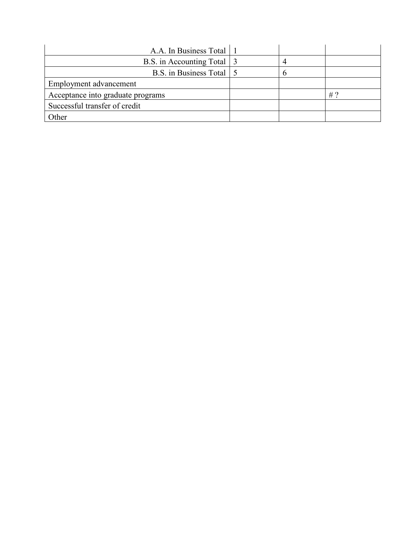| A.A. In Business Total 1          |  |    |
|-----------------------------------|--|----|
| B.S. in Accounting Total 3        |  |    |
| B.S. in Business Total 5          |  |    |
| Employment advancement            |  |    |
| Acceptance into graduate programs |  | #? |
| Successful transfer of credit     |  |    |
| Other                             |  |    |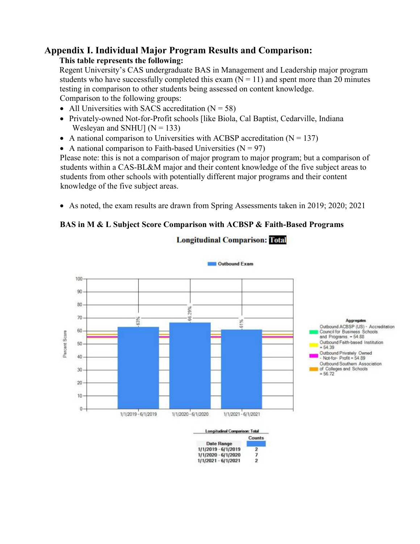## **Appendix I. Individual Major Program Results and Comparison:**

#### **This table represents the following:**

 Regent University's CAS undergraduate BAS in Management and Leadership major program testing in comparison to other students being assessed on content knowledge. Comparison to the following groups: students who have successfully completed this exam  $(N = 11)$  and spent more than 20 minutes

- All Universities with SACS accreditation  $(N = 58)$
- Wesleyan and SNHU]  $(N = 133)$ • Privately-owned Not-for-Profit schools [like Biola, Cal Baptist, Cedarville, Indiana
- A national comparison to Universities with ACBSP accreditation  $(N = 137)$
- A national comparison to Faith-based Universities  $(N = 97)$

 Please note: this is not a comparison of major program to major program; but a comparison of students within a CAS-BL&M major and their content knowledge of the five subject areas to students from other schools with potentially different major programs and their content knowledge of the five subject areas.

• As noted, the exam results are drawn from Spring Assessments taken in 2019; 2020; 2021

### **BAS in M & L Subject Score Comparison with ACBSP & Faith-Based Programs**



1/1/2020 - 6/1/2020

1/1/2021 - 6/1/2021

7

 $\overline{2}$ 

#### **Longitudinal Comparison: Total**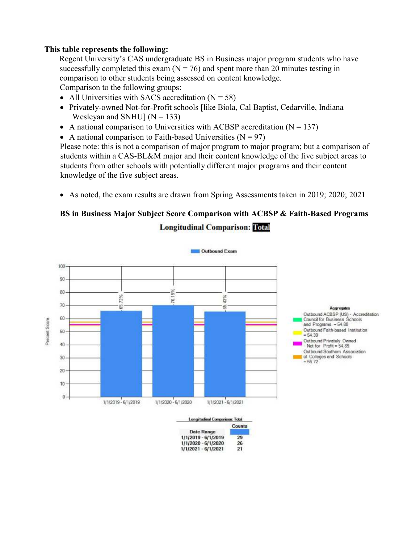comparison to other students being assessed on content knowledge. Regent University's CAS undergraduate BS in Business major program students who have successfully completed this exam  $(N = 76)$  and spent more than 20 minutes testing in

Comparison to the following groups:

- All Universities with SACS accreditation  $(N = 58)$
- Wesleyan and SNHU]  $(N = 133)$ • Privately-owned Not-for-Profit schools [like Biola, Cal Baptist, Cedarville, Indiana
- A national comparison to Universities with ACBSP accreditation  $(N = 137)$
- A national comparison to Faith-based Universities  $(N = 97)$

 knowledge of the five subject areas. Please note: this is not a comparison of major program to major program; but a comparison of students within a CAS-BL&M major and their content knowledge of the five subject areas to students from other schools with potentially different major programs and their content

• As noted, the exam results are drawn from Spring Assessments taken in 2019; 2020; 2021

### **BS in Business Major Subject Score Comparison with ACBSP & Faith-Based Programs Longitudinal Comparison: Total**



| <b>Longitudinal Comparison: Total</b> |               |
|---------------------------------------|---------------|
|                                       | <b>Counts</b> |
| <b>Date Range</b>                     |               |
| 1/1/2019 - 6/1/2019                   | 29            |
| 1/1/2020 - 6/1/2020                   | 26            |
| $1/1/2021 - 6/1/2021$                 | 21            |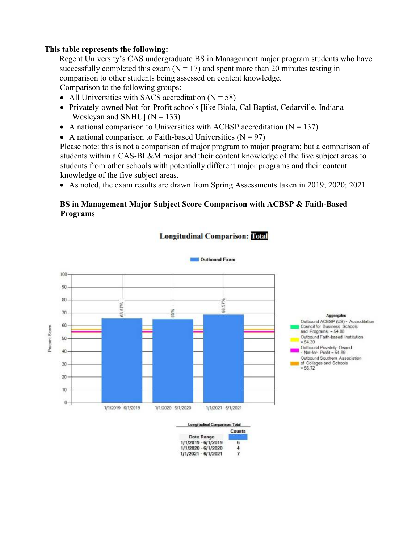Regent University's CAS undergraduate BS in Management major program students who have comparison to other students being assessed on content knowledge. successfully completed this exam  $(N = 17)$  and spent more than 20 minutes testing in

Comparison to the following groups:

- All Universities with SACS accreditation  $(N = 58)$
- • Privately-owned Not-for-Profit schools [like Biola, Cal Baptist, Cedarville, Indiana Wesleyan and SNHU]  $(N = 133)$
- A national comparison to Universities with ACBSP accreditation  $(N = 137)$
- A national comparison to Faith-based Universities  $(N = 97)$

Please note: this is not a comparison of major program to major program; but a comparison of students within a CAS-BL&M major and their content knowledge of the five subject areas to students from other schools with potentially different major programs and their content knowledge of the five subject areas.

• As noted, the exam results are drawn from Spring Assessments taken in 2019; 2020; 2021

#### **BS in Management Major Subject Score Comparison with ACBSP & Faith-Based Programs**



1/1/2019 - 6/1/2019

1/1/2020 - 6/1/2020

1/1/2021 - 6/1/2021

6

 $\frac{4}{7}$ 

#### **Longitudinal Comparison: Total**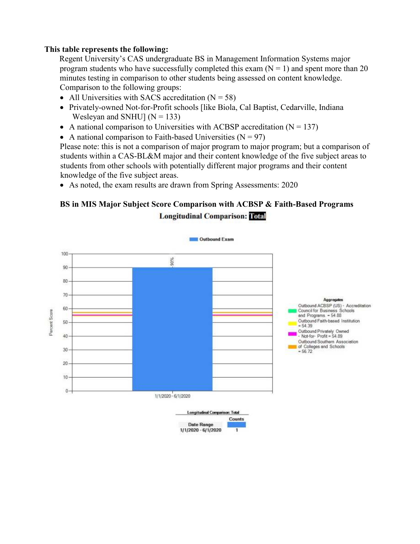Regent University's CAS undergraduate BS in Management Information Systems major Comparison to the following groups: program students who have successfully completed this exam  $(N = 1)$  and spent more than 20 minutes testing in comparison to other students being assessed on content knowledge.

- All Universities with SACS accreditation  $(N = 58)$
- • Privately-owned Not-for-Profit schools [like Biola, Cal Baptist, Cedarville, Indiana Wesleyan and SNHU]  $(N = 133)$
- A national comparison to Universities with ACBSP accreditation  $(N = 137)$
- A national comparison to Faith-based Universities  $(N = 97)$

 knowledge of the five subject areas. Please note: this is not a comparison of major program to major program; but a comparison of students within a CAS-BL&M major and their content knowledge of the five subject areas to students from other schools with potentially different major programs and their content

• As noted, the exam results are drawn from Spring Assessments: 2020

### **BS in MIS Major Subject Score Comparison with ACBSP & Faith-Based Programs Longitudinal Comparison: Total**

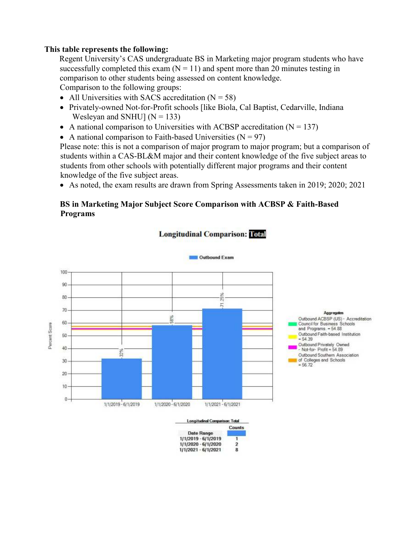Regent University's CAS undergraduate BS in Marketing major program students who have comparison to other students being assessed on content knowledge. successfully completed this exam  $(N = 11)$  and spent more than 20 minutes testing in

Comparison to the following groups:

- All Universities with SACS accreditation  $(N = 58)$
- Wesleyan and SNHU]  $(N = 133)$ • Privately-owned Not-for-Profit schools [like Biola, Cal Baptist, Cedarville, Indiana
- A national comparison to Universities with ACBSP accreditation  $(N = 137)$
- A national comparison to Faith-based Universities  $(N = 97)$

 Please note: this is not a comparison of major program to major program; but a comparison of students from other schools with potentially different major programs and their content students within a CAS-BL&M major and their content knowledge of the five subject areas to knowledge of the five subject areas.

• As noted, the exam results are drawn from Spring Assessments taken in 2019; 2020; 2021

#### **BS in Marketing Major Subject Score Comparison with ACBSP & Faith-Based Programs**



**Date Range** 1/1/2019 - 6/1/2019

1/1/2020 - 6/1/2020

1/1/2021 - 6/1/2021

ī

 $\mathbf 2$ 

8

#### **Longitudinal Comparison: Total**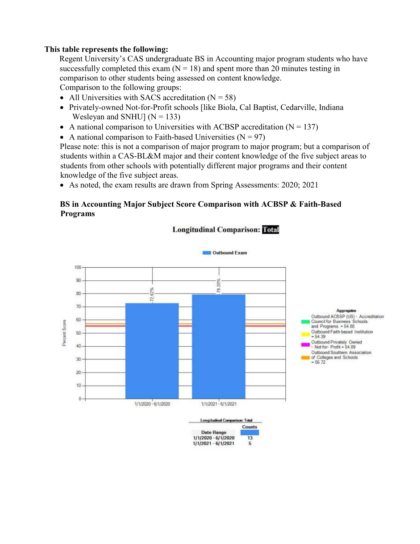Regent University's CAS undergraduate BS in Accounting major program students who have comparison to other students being assessed on content knowledge. successfully completed this exam  $(N = 18)$  and spent more than 20 minutes testing in

Comparison to the following groups:

- All Universities with SACS accreditation  $(N = 58)$
- Wesleyan and SNHU]  $(N = 133)$ • Privately-owned Not-for-Profit schools [like Biola, Cal Baptist, Cedarville, Indiana
- A national comparison to Universities with ACBSP accreditation  $(N = 137)$
- A national comparison to Faith-based Universities  $(N = 97)$

 knowledge of the five subject areas. Please note: this is not a comparison of major program to major program; but a comparison of students within a CAS-BL&M major and their content knowledge of the five subject areas to students from other schools with potentially different major programs and their content

• As noted, the exam results are drawn from Spring Assessments: 2020; 2021

#### **BS in Accounting Major Subject Score Comparison with ACBSP & Faith-Based Programs**



#### **Longitudinal Comparison: Total**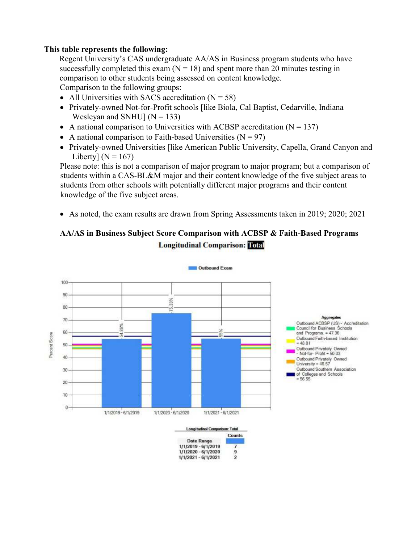comparison to other students being assessed on content knowledge. Regent University's CAS undergraduate AA/AS in Business program students who have successfully completed this exam  $(N = 18)$  and spent more than 20 minutes testing in

Comparison to the following groups:

- All Universities with SACS accreditation  $(N = 58)$
- Wesleyan and SNHU]  $(N = 133)$ • Privately-owned Not-for-Profit schools [like Biola, Cal Baptist, Cedarville, Indiana
- A national comparison to Universities with ACBSP accreditation  $(N = 137)$
- A national comparison to Faith-based Universities  $(N = 97)$
- Liberty]  $(N = 167)$ • Privately-owned Universities [like American Public University, Capella, Grand Canyon and

 Please note: this is not a comparison of major program to major program; but a comparison of students within a CAS-BL&M major and their content knowledge of the five subject areas to students from other schools with potentially different major programs and their content knowledge of the five subject areas.

• As noted, the exam results are drawn from Spring Assessments taken in 2019; 2020; 2021

### **AA/AS in Business Subject Score Comparison with ACBSP & Faith-Based Programs Longitudinal Comparison: Total**



**Date Range** 1/1/2019 - 6/1/2019

1/1/2020 - 6/1/2020

1/1/2021 - 6/1/2021

7

9

 $\overline{\mathbf{2}}$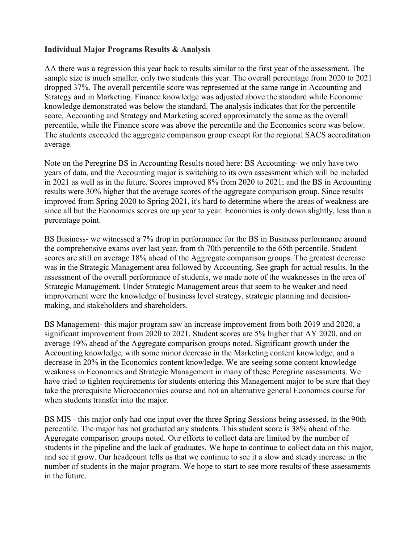#### **Individual Major Programs Results & Analysis**

 sample size is much smaller, only two students this year. The overall percentage from 2020 to 2021 dropped 37%. The overall percentile score was represented at the same range in Accounting and Strategy and in Marketing. Finance knowledge was adjusted above the standard while Economic knowledge demonstrated was below the standard. The analysis indicates that for the percentile AA there was a regression this year back to results similar to the first year of the assessment. The score, Accounting and Strategy and Marketing scored approximately the same as the overall percentile, while the Finance score was above the percentile and the Economics score was below. The students exceeded the aggregate comparison group except for the regional SACS accreditation average.

 Note on the Peregrine BS in Accounting Results noted here: BS Accounting- we only have two since all but the Economics scores are up year to year. Economics is only down slightly, less than a years of data, and the Accounting major is switching to its own assessment which will be included in 2021 as well as in the future. Scores improved 8% from 2020 to 2021; and the BS in Accounting results were 30% higher that the average scores of the aggregate comparison group. Since results improved from Spring 2020 to Spring 2021, it's hard to determine where the areas of weakness are percentage point.

 scores are still on average 18% ahead of the Aggregate comparison groups. The greatest decrease was in the Strategic Management area followed by Accounting. See graph for actual results. In the assessment of the overall performance of students, we made note of the weaknesses in the area of BS Business- we witnessed a 7% drop in performance for the BS in Business performance around the comprehensive exams over last year, from th 70th percentile to the 65th percentile. Student Strategic Management. Under Strategic Management areas that seem to be weaker and need improvement were the knowledge of business level strategy, strategic planning and decisionmaking, and stakeholders and shareholders.

 BS Management- this major program saw an increase improvement from both 2019 and 2020, a significant improvement from 2020 to 2021. Student scores are 5% higher that AY 2020, and on average 19% ahead of the Aggregate comparison groups noted. Significant growth under the Accounting knowledge, with some minor decrease in the Marketing content knowledge, and a decrease in 20% in the Economics content knowledge. We are seeing some content knowledge weakness in Economics and Strategic Management in many of these Peregrine assessments. We have tried to tighten requirements for students entering this Management major to be sure that they take the prerequisite Microeconomics course and not an alternative general Economics course for when students transfer into the major.

 students in the pipeline and the lack of graduates. We hope to continue to collect data on this major, and see it grow. Our headcount tells us that we continue to see it a slow and steady increase in the BS MIS - this major only had one input over the three Spring Sessions being assessed, in the 90th percentile. The major has not graduated any students. This student score is 38% ahead of the Aggregate comparison groups noted. Our efforts to collect data are limited by the number of number of students in the major program. We hope to start to see more results of these assessments in the future.